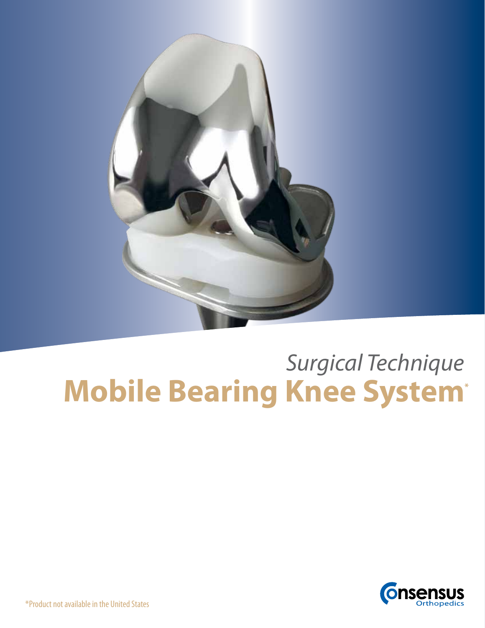

# **Mobile Bearing Knee System\*** *Surgical Technique*



\*Product not available in the United States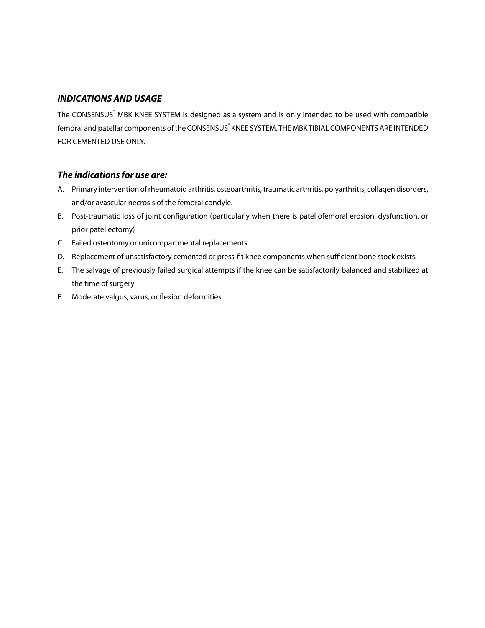#### *INDICATIONS AND USAGE*

The CONSENSUS<sup>®</sup> MBK KNEE SYSTEM is designed as a system and is only intended to be used with compatible femoral and patellar components of the CONSENSUS<sup>®</sup> KNEE SYSTEM. THE MBK TIBIAL COMPONENTS ARE INTENDED FOR CEMENTED USE ONLY.

#### *The indications for use are:*

- A. Primary intervention of rheumatoid arthritis, osteoarthritis, traumatic arthritis, polyarthritis, collagen disorders, and/or avascular necrosis of the femoral condyle.
- B. Post-traumatic loss of joint configuration (particularly when there is patellofemoral erosion, dysfunction, or prior patellectomy)
- C. Failed osteotomy or unicompartmental replacements.
- D. Replacement of unsatisfactory cemented or press-fit knee components when sufficient bone stock exists.
- E. The salvage of previously failed surgical attempts if the knee can be satisfactorily balanced and stabilized at the time of surgery
- F. Moderate valgus, varus, or flexion deformities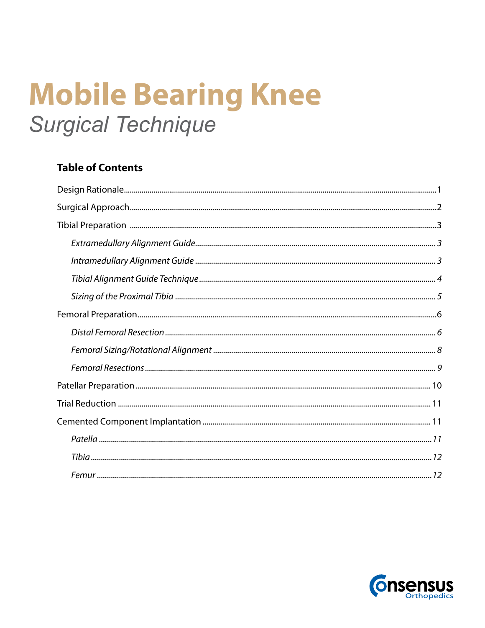# **Mobile Bearing Knee Surgical Technique**

# **Table of Contents**

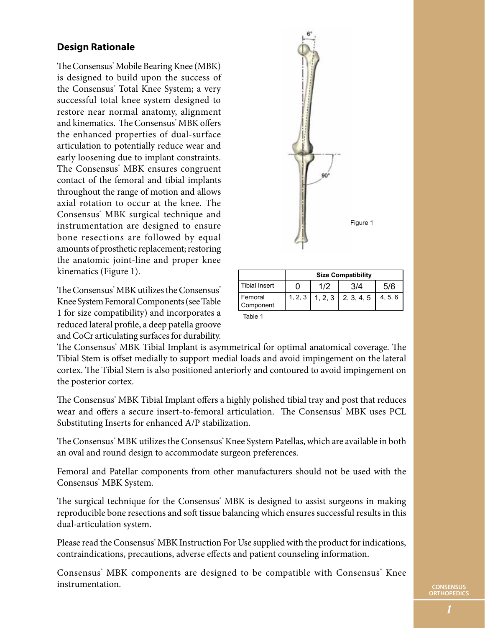## **Design Rationale**

The Consensus® Mobile Bearing Knee (MBK) is designed to build upon the success of the Consensus® Total Knee System; a very successful total knee system designed to restore near normal anatomy, alignment and kinematics. The Consensus<sup>®</sup> MBK offers the enhanced properties of dual-surface articulation to potentially reduce wear and early loosening due to implant constraints. The Consensus<sup>®</sup> MBK ensures congruent contact of the femoral and tibial implants throughout the range of motion and allows axial rotation to occur at the knee. The Consensus<sup>®</sup> MBK surgical technique and instrumentation are designed to ensure bone resections are followed by equal amounts of prosthetic replacement; restoring the anatomic joint-line and proper knee kinematics (Figure 1).

The Consensus<sup>®</sup> MBK utilizes the Consensus® Knee System Femoral Components (see Table 1 for size compatibility) and incorporates a reduced lateral profile, a deep patella groove and CoCr articulating surfaces for durability.



|                      | <b>Size Compatibility</b> |     |                        |         |
|----------------------|---------------------------|-----|------------------------|---------|
| <b>Tibial Insert</b> |                           | 1/2 |                        | 5/6     |
| Femoral<br>Component | 1, 2, 3                   |     | $1, 2, 3$   2, 3, 4, 5 | 4, 5, 6 |

Table 1

The Consensus' MBK Tibial Implant is asymmetrical for optimal anatomical coverage. The Tibial Stem is offset medially to support medial loads and avoid impingement on the lateral cortex. The Tibial Stem is also positioned anteriorly and contoured to avoid impingement on the posterior cortex.

The Consensus<sup>®</sup> MBK Tibial Implant offers a highly polished tibial tray and post that reduces wear and offers a secure insert-to-femoral articulation. The Consensus° MBK uses PCL Substituting Inserts for enhanced A/P stabilization.

The Consensus" MBK utilizes the Consensus" Knee System Patellas, which are available in both an oval and round design to accommodate surgeon preferences.

Femoral and Patellar components from other manufacturers should not be used with the Consensus<sup>®</sup> MBK System.

The surgical technique for the Consensus' MBK is designed to assist surgeons in making reproducible bone resections and soft tissue balancing which ensures successful results in this dual-articulation system.

Please read the Consensus<sup>®</sup> MBK Instruction For Use supplied with the product for indications, contraindications, precautions, adverse effects and patient counseling information.

Consensus' MBK components are designed to be compatible with Consensus' Knee instrumentation.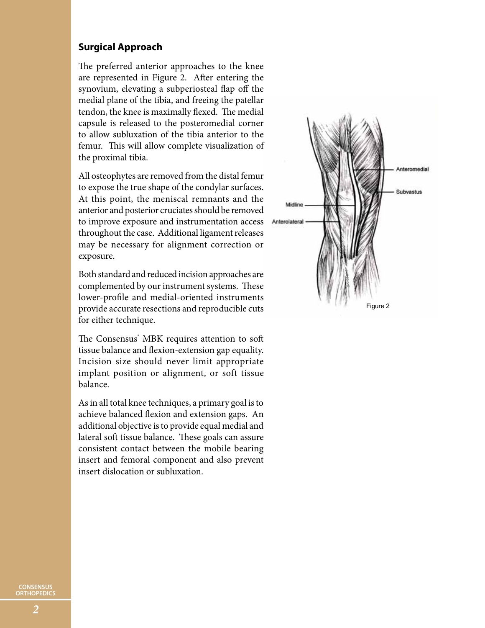#### **Surgical Approach**

The preferred anterior approaches to the knee are represented in Figure 2. After entering the synovium, elevating a subperiosteal flap off the medial plane of the tibia, and freeing the patellar tendon, the knee is maximally flexed. The medial capsule is released to the posteromedial corner to allow subluxation of the tibia anterior to the femur. This will allow complete visualization of the proximal tibia.

All osteophytes are removed from the distal femur to expose the true shape of the condylar surfaces. At this point, the meniscal remnants and the anterior and posterior cruciates should be removed to improve exposure and instrumentation access throughout the case. Additional ligament releases may be necessary for alignment correction or exposure.

Both standard and reduced incision approaches are complemented by our instrument systems. These lower-profile and medial-oriented instruments provide accurate resections and reproducible cuts for either technique.

The Consensus<sup>®</sup> MBK requires attention to soft tissue balance and flexion-extension gap equality. Incision size should never limit appropriate implant position or alignment, or soft tissue balance.

As in all total knee techniques, a primary goal is to achieve balanced flexion and extension gaps. An additional objective is to provide equal medial and lateral soft tissue balance. These goals can assure consistent contact between the mobile bearing insert and femoral component and also prevent insert dislocation or subluxation.

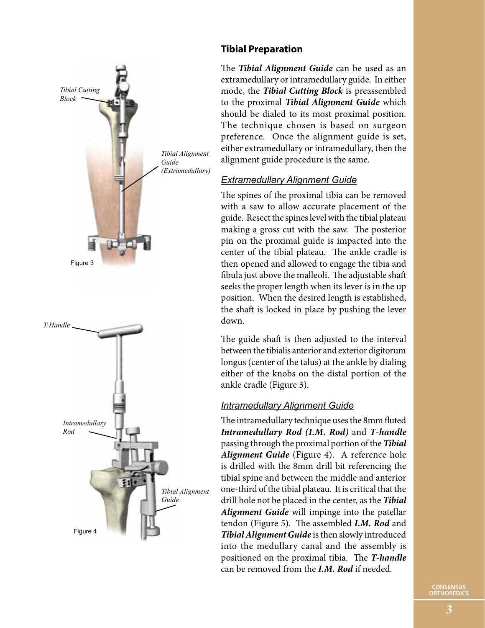

## **Tibial Preparation**

The *Tibial Alignment Guide* can be used as an extramedullary or intramedullary guide. In either mode, the *Tibial Cutting Block* is preassembled to the proximal *Tibial Alignment Guide* which should be dialed to its most proximal position. The technique chosen is based on surgeon preference. Once the alignment guide is set, either extramedullary or intramedullary, then the alignment guide procedure is the same.

## *Extramedullary Alignment Guide*

The spines of the proximal tibia can be removed with a saw to allow accurate placement of the guide. Resect the spines level with the tibial plateau making a gross cut with the saw. The posterior pin on the proximal guide is impacted into the center of the tibial plateau. The ankle cradle is then opened and allowed to engage the tibia and fibula just above the malleoli. The adjustable shaft seeks the proper length when its lever is in the up position. When the desired length is established, the shaft is locked in place by pushing the lever down.

The guide shaft is then adjusted to the interval between the tibialis anterior and exterior digitorum longus (center of the talus) at the ankle by dialing either of the knobs on the distal portion of the ankle cradle (Figure 3).

## *Intramedullary Alignment Guide*

The intramedullary technique uses the 8mm fluted *Intramedullary Rod (I.M. Rod)* and *T-handle* passing through the proximal portion of the *Tibial Alignment Guide* (Figure 4). A reference hole is drilled with the 8mm drill bit referencing the tibial spine and between the middle and anterior one-third of the tibial plateau. It is critical that the drill hole not be placed in the center, as the *Tibial Alignment Guide* will impinge into the patellar tendon (Figure 5). The assembled *I.M. Rod* and *Tibial Alignment Guide* is then slowly introduced into the medullary canal and the assembly is positioned on the proximal tibia. The *T-handle* can be removed from the *I.M. Rod* if needed.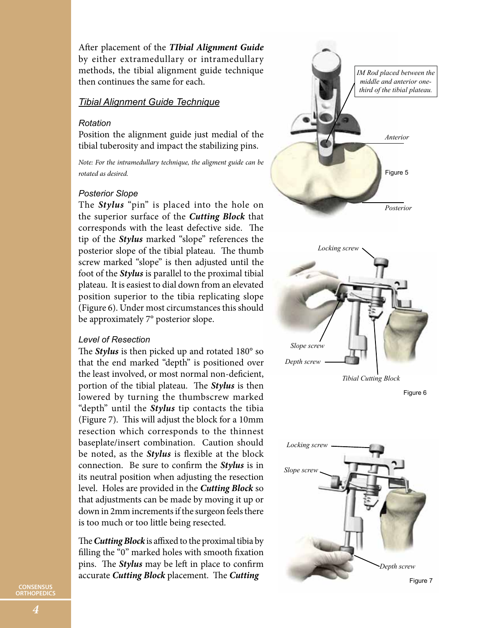After placement of the *TIbial Alignment Guide* by either extramedullary or intramedullary methods, the tibial alignment guide technique then continues the same for each.

#### *Tibial Alignment Guide Technique*

#### *Rotation*

Position the alignment guide just medial of the tibial tuberosity and impact the stabilizing pins.

*Note: For the intramedullary technique, the aligment guide can be rotated as desired.*

#### *Posterior Slope*

The *Stylus* "pin" is placed into the hole on the superior surface of the *Cutting Block* that corresponds with the least defective side. The tip of the *Stylus* marked "slope" references the posterior slope of the tibial plateau. The thumb screw marked "slope" is then adjusted until the foot of the *Stylus* is parallel to the proximal tibial plateau. It is easiest to dial down from an elevated position superior to the tibia replicating slope (Figure 6). Under most circumstances this should be approximately 7° posterior slope.

#### *Level of Resection*

The *Stylus* is then picked up and rotated 180° so that the end marked "depth" is positioned over the least involved, or most normal non-deficient, portion of the tibial plateau. The *Stylus* is then lowered by turning the thumbscrew marked "depth" until the *Stylus* tip contacts the tibia (Figure 7). This will adjust the block for a 10mm resection which corresponds to the thinnest baseplate/insert combination. Caution should be noted, as the *Stylus* is flexible at the block connection. Be sure to confirm the *Stylus* is in its neutral position when adjusting the resection level. Holes are provided in the *Cutting Block* so that adjustments can be made by moving it up or down in 2mm increments if the surgeon feels there is too much or too little being resected.

The *Cutting Block* is affixed to the proximal tibia by filling the "0" marked holes with smooth fixation pins. The *Stylus* may be left in place to confirm accurate *Cutting Block* placement. The *Cutting* 



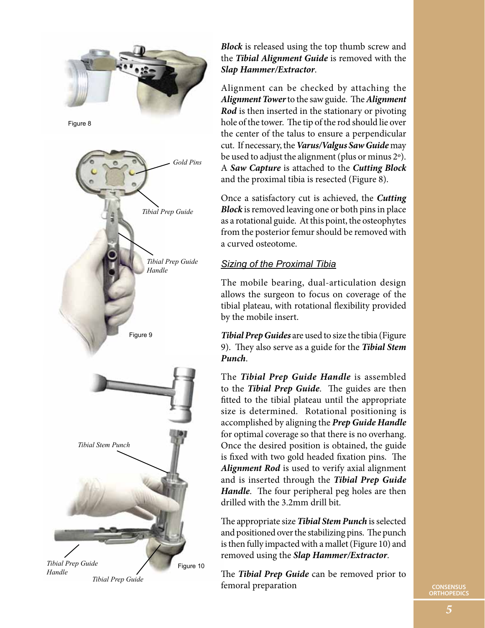

*Block* is released using the top thumb screw and the *Tibial Alignment Guide* is removed with the *Slap Hammer/Extractor*.

Alignment can be checked by attaching the *Alignment Tower* to the saw guide. The *Alignment Rod* is then inserted in the stationary or pivoting hole of the tower. The tip of the rod should lie over the center of the talus to ensure a perpendicular cut. If necessary, the *Varus/Valgus Saw Guide* may be used to adjust the alignment (plus or minus 2º). A *Saw Capture* is attached to the *Cutting Block* and the proximal tibia is resected (Figure 8).

Once a satisfactory cut is achieved, the *Cutting Block* is removed leaving one or both pins in place as a rotational guide. At this point, the osteophytes from the posterior femur should be removed with a curved osteotome.

## *Sizing of the Proximal Tibia*

The mobile bearing, dual-articulation design allows the surgeon to focus on coverage of the tibial plateau, with rotational flexibility provided by the mobile insert.

*Tibial Prep Guides* are used to size the tibia (Figure 9). They also serve as a guide for the *Tibial Stem Punch*.

The *Tibial Prep Guide Handle* is assembled to the *Tibial Prep Guide*. The guides are then fitted to the tibial plateau until the appropriate size is determined. Rotational positioning is accomplished by aligning the *Prep Guide Handle* for optimal coverage so that there is no overhang. Once the desired position is obtained, the guide is fixed with two gold headed fixation pins. The *Alignment Rod* is used to verify axial alignment and is inserted through the *Tibial Prep Guide Handle*. The four peripheral peg holes are then drilled with the 3.2mm drill bit.

The appropriate size *Tibial Stem Punch* is selected and positioned over the stabilizing pins. The punch is then fully impacted with a mallet (Figure 10) and removed using the *Slap Hammer/Extractor*.

The *Tibial Prep Guide* can be removed prior to femoral preparation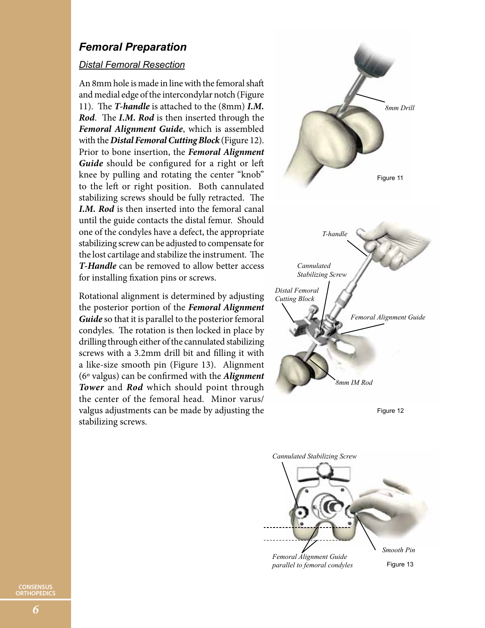## *Femoral Preparation*

#### *Distal Femoral Resection*

An 8mm hole is made in line with the femoral shaft and medial edge of the intercondylar notch (Figure 11). The *T-handle* is attached to the (8mm) *I.M. Rod*. The *I.M. Rod* is then inserted through the *Femoral Alignment Guide*, which is assembled with the *Distal Femoral Cutting Block* (Figure 12). Prior to bone insertion, the *Femoral Alignment Guide* should be configured for a right or left knee by pulling and rotating the center "knob" to the left or right position. Both cannulated stabilizing screws should be fully retracted. The *I.M. Rod* is then inserted into the femoral canal until the guide contacts the distal femur. Should one of the condyles have a defect, the appropriate stabilizing screw can be adjusted to compensate for the lost cartilage and stabilize the instrument. The *T-Handle* can be removed to allow better access for installing fixation pins or screws.

Rotational alignment is determined by adjusting the posterior portion of the *Femoral Alignment Guide* so that it is parallel to the posterior femoral condyles. The rotation is then locked in place by drilling through either of the cannulated stabilizing screws with a 3.2mm drill bit and filling it with a like-size smooth pin (Figure 13). Alignment (6º valgus) can be confirmed with the *Alignment Tower* and *Rod* which should point through the center of the femoral head. Minor varus/ valgus adjustments can be made by adjusting the stabilizing screws.



Figure 12

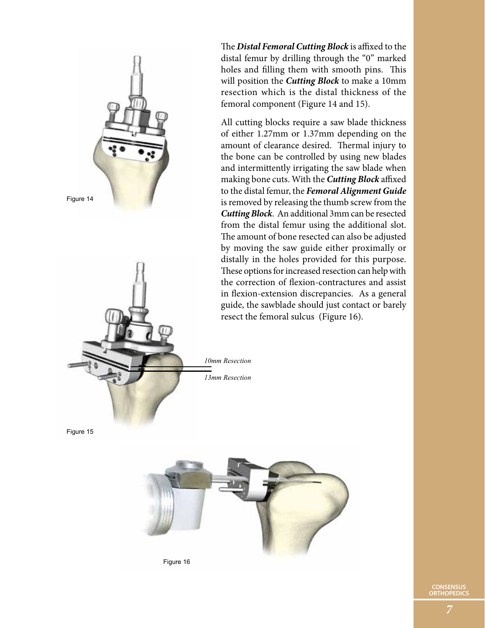

The *Distal Femoral Cutting Block* is affixed to the distal femur by drilling through the "0" marked holes and filling them with smooth pins. This will position the *Cutting Block* to make a 10mm resection which is the distal thickness of the femoral component (Figure 14 and 15).

All cutting blocks require a saw blade thickness of either 1.27mm or 1.37mm depending on the amount of clearance desired. Thermal injury to the bone can be controlled by using new blades and intermittently irrigating the saw blade when making bone cuts. With the *Cutting Block* affixed to the distal femur, the *Femoral Alignment Guide* is removed by releasing the thumb screw from the *Cutting Block*. An additional 3mm can be resected from the distal femur using the additional slot. The amount of bone resected can also be adjusted by moving the saw guide either proximally or distally in the holes provided for this purpose. These options for increased resection can help with the correction of flexion-contractures and assist in flexion-extension discrepancies. As a general guide, the sawblade should just contact or barely resect the femoral sulcus (Figure 16).

Figure 15

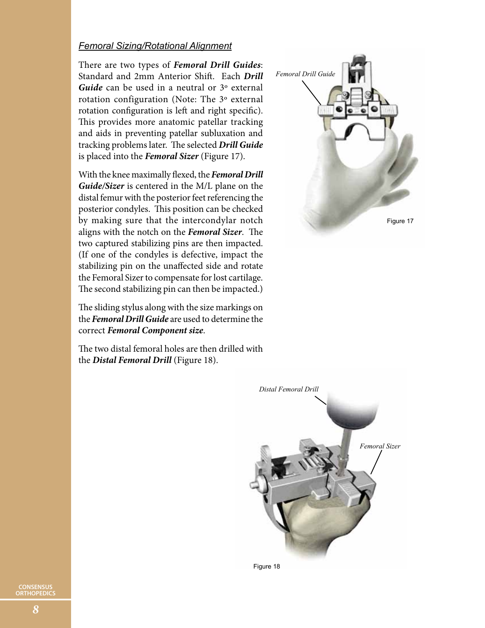#### *Femoral Sizing/Rotational Alignment*

There are two types of *Femoral Drill Guides*: Standard and 2mm Anterior Shift. Each *Drill*  Guide can be used in a neutral or 3<sup>°</sup> external rotation configuration (Note: The 3º external rotation configuration is left and right specific). This provides more anatomic patellar tracking and aids in preventing patellar subluxation and tracking problems later. The selected *Drill Guide* is placed into the *Femoral Sizer* (Figure 17).

With the knee maximally flexed, the *Femoral Drill Guide/Sizer* is centered in the M/L plane on the distal femur with the posterior feet referencing the posterior condyles. This position can be checked by making sure that the intercondylar notch aligns with the notch on the *Femoral Sizer*. The two captured stabilizing pins are then impacted. (If one of the condyles is defective, impact the stabilizing pin on the unaffected side and rotate the Femoral Sizer to compensate for lost cartilage. The second stabilizing pin can then be impacted.)

The sliding stylus along with the size markings on the *Femoral Drill Guide* are used to determine the correct *Femoral Component size*.

The two distal femoral holes are then drilled with the *Distal Femoral Drill* (Figure 18).





Figure 18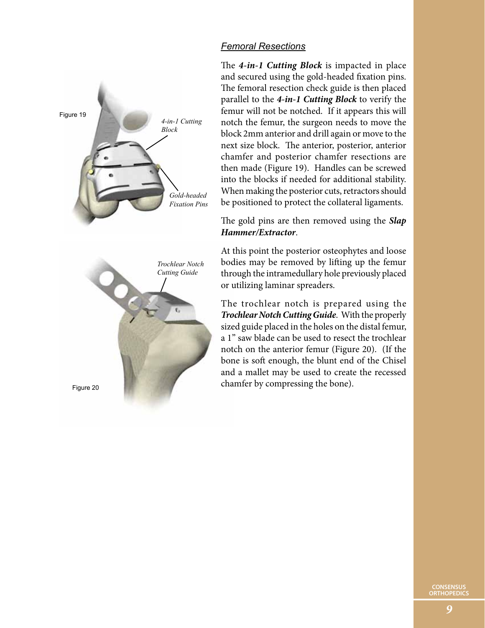

## *Femoral Resections*

The *4-in-1 Cutting Block* is impacted in place and secured using the gold-headed fixation pins. The femoral resection check guide is then placed parallel to the *4-in-1 Cutting Block* to verify the femur will not be notched. If it appears this will notch the femur, the surgeon needs to move the block 2mm anterior and drill again or move to the next size block. The anterior, posterior, anterior chamfer and posterior chamfer resections are then made (Figure 19). Handles can be screwed into the blocks if needed for additional stability. When making the posterior cuts, retractors should be positioned to protect the collateral ligaments.

The gold pins are then removed using the *Slap Hammer/Extractor*.

At this point the posterior osteophytes and loose bodies may be removed by lifting up the femur through the intramedullary hole previously placed or utilizing laminar spreaders.

The trochlear notch is prepared using the *Trochlear Notch Cutting Guide*. With the properly sized guide placed in the holes on the distal femur, a 1" saw blade can be used to resect the trochlear notch on the anterior femur (Figure 20). (If the bone is soft enough, the blunt end of the Chisel and a mallet may be used to create the recessed chamfer by compressing the bone).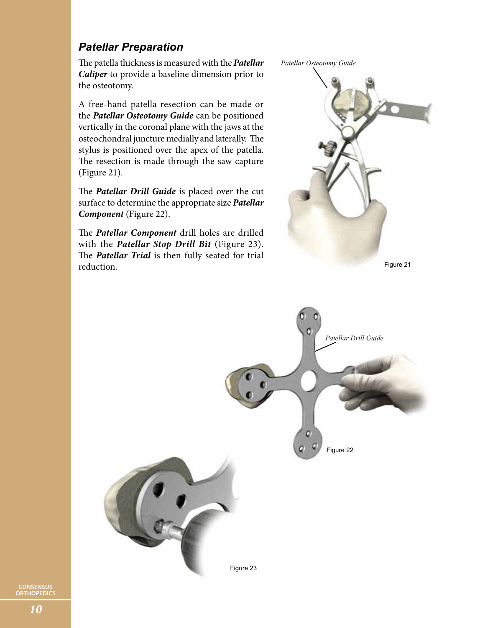## *Patellar Preparation*

The patella thickness is measured with the *Patellar Caliper* to provide a baseline dimension prior to the osteotomy.

A free-hand patella resection can be made or the *Patellar Osteotomy Guide* can be positioned vertically in the coronal plane with the jaws at the osteochondral juncture medially and laterally. The stylus is positioned over the apex of the patella. The resection is made through the saw capture (Figure 21).

The *Patellar Drill Guide* is placed over the cut surface to determine the appropriate size *Patellar Component* (Figure 22).

The *Patellar Component* drill holes are drilled with the *Patellar Stop Drill Bit* (Figure 23). The *Patellar Trial* is then fully seated for trial reduction.





Figure 21

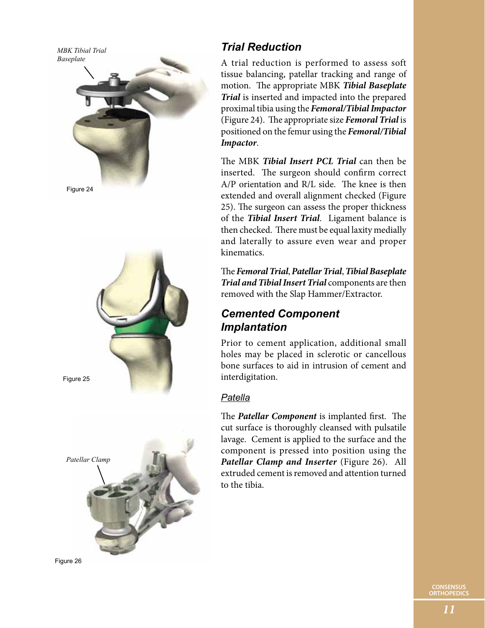Figure 24 *MBK Tibial Trial Baseplate* Figure 25 *Patellar Clamp*

Figure 26

# *Trial Reduction*

A trial reduction is performed to assess soft tissue balancing, patellar tracking and range of motion. The appropriate MBK *Tibial Baseplate Trial* is inserted and impacted into the prepared proximal tibia using the *Femoral/Tibial Impactor* (Figure 24). The appropriate size *Femoral Trial* is positioned on the femur using the *Femoral/Tibial Impactor*.

The MBK *Tibial Insert PCL Trial* can then be inserted. The surgeon should confirm correct A/P orientation and R/L side. The knee is then extended and overall alignment checked (Figure 25). The surgeon can assess the proper thickness of the *Tibial Insert Trial*. Ligament balance is then checked. There must be equal laxity medially and laterally to assure even wear and proper kinematics.

The *Femoral Trial*, *Patellar Trial*, *Tibial Baseplate Trial and Tibial Insert Trial* components are then removed with the Slap Hammer/Extractor.

## *Cemented Component Implantation*

Prior to cement application, additional small holes may be placed in sclerotic or cancellous bone surfaces to aid in intrusion of cement and interdigitation.

## *Patella*

The *Patellar Component* is implanted first. The cut surface is thoroughly cleansed with pulsatile lavage. Cement is applied to the surface and the component is pressed into position using the *Patellar Clamp and Inserter* (Figure 26). All extruded cement is removed and attention turned to the tibia.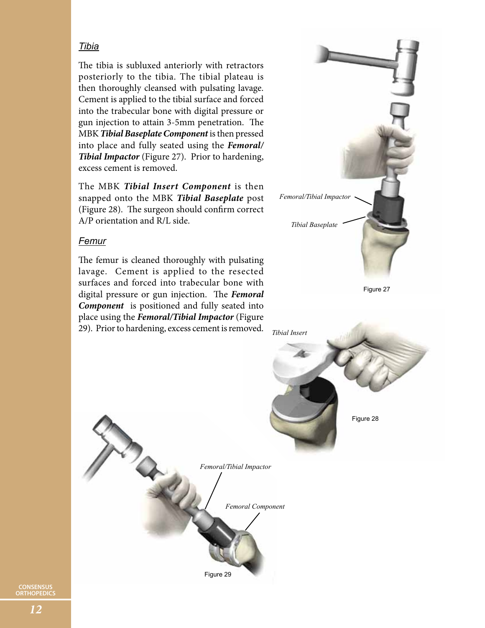## *Tibia*

The tibia is subluxed anteriorly with retractors posteriorly to the tibia. The tibial plateau is then thoroughly cleansed with pulsating lavage. Cement is applied to the tibial surface and forced into the trabecular bone with digital pressure or gun injection to attain 3-5mm penetration. The MBK *Tibial Baseplate Component* is then pressed into place and fully seated using the *Femoral/ Tibial Impactor* (Figure 27). Prior to hardening, excess cement is removed.

The MBK *Tibial Insert Component* is then snapped onto the MBK *Tibial Baseplate* post (Figure 28). The surgeon should confirm correct A/P orientation and R/L side.

#### *Femur*

The femur is cleaned thoroughly with pulsating lavage. Cement is applied to the resected surfaces and forced into trabecular bone with digital pressure or gun injection. The *Femoral Component* is positioned and fully seated into place using the *Femoral/Tibial Impactor* (Figure 29). Prior to hardening, excess cement is removed.

 $x^{\prime\prime}$ 



Figure 29